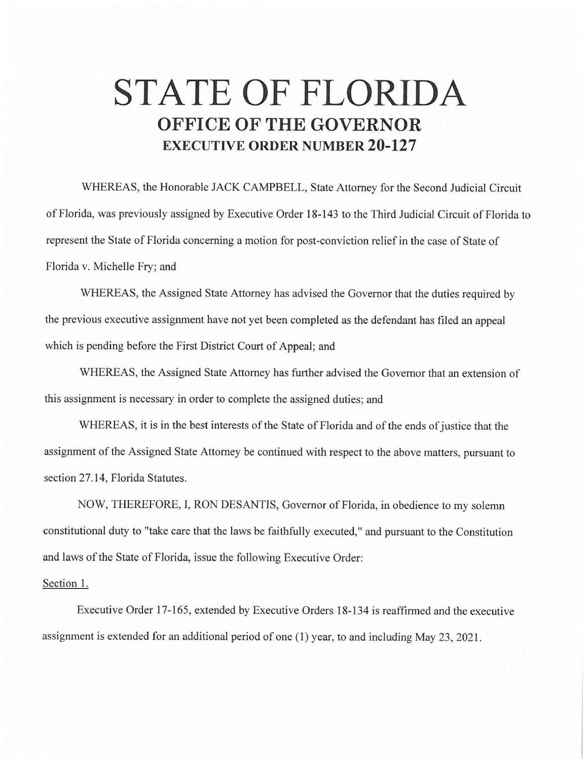## **STATE OF FLORIDA OFFICE OF THE GOVERNOR EXECUTIVE ORDER NUMBER 20-127**

WHEREAS, the Honorable JACK CAMPBELL, State Attorney for the Second Judicial Circuit of Florida, was previously assigned by Executive Order 18-143 to the Third Judicial Circuit of Florida to represent the State of Florida concerning a motion for post-conviction relief in the case of State of Florida v. Michelle Fry; and

WHEREAS, the Assigned State Attorney has advised the Governor that the duties required by the previous executive assignment have not yet been completed as the defendant has filed an appeal which is pending before the First District Court of Appeal; and

WHEREAS, the Assigned State Attorney has further advised the Governor that an extension of this assignment is necessary in order to complete the assigned duties; and

WHEREAS, it is in the best interests of the State of Florida and of the ends of justice that the assignment of the Assigned State Attorney be continued with respect to the above matters, pursuant to section 27.14, Florida Statutes.

NOW, THEREFORE, I, RON DESANTIS, Governor of Florida, in obedience to my solemn constitutional duty to "take care that the laws be faithfully executed," and pursuant to the Constitution and laws of the State of Florida, issue the following Executive Order:

## Section 1.

Executive Order 17-165, extended by Executive Orders 18-134 is reaffirmed and the executive assignment is extended for an additional period of one (I) year, to and including May 23, 2021.